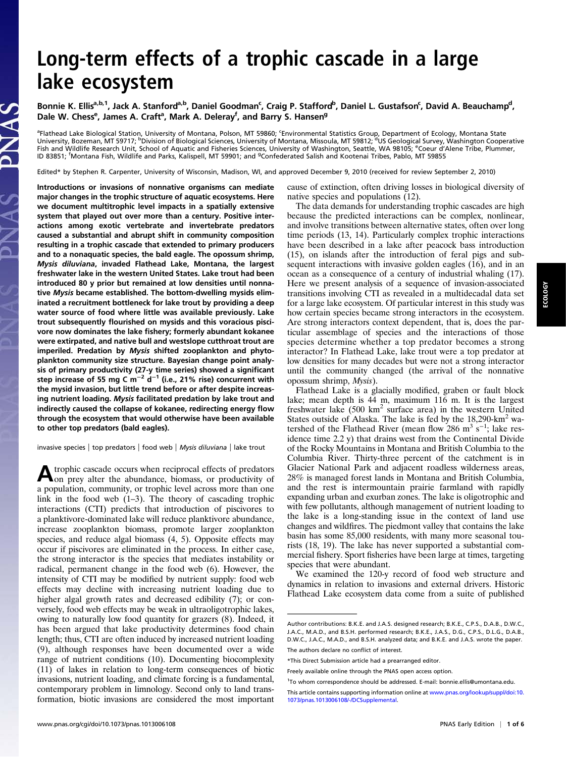# Long-term effects of a trophic cascade in a large lake ecosystem

## Bonnie K. Ellis<sup>a,b,1</sup>, Jack A. Stanford<sup>a,b</sup>, Daniel Goodman<sup>c</sup>, Craig P. Stafford<sup>b</sup>, Daniel L. Gustafson<sup>c</sup>, David A. Beauchamp<sup>d</sup>, Dale W. Chess<sup>e</sup>, James A. Craft<sup>a</sup>, Mark A. Deleray<sup>f</sup>, and Barry S. Hansen<sup>g</sup>

<sup>a</sup>Flathead Lake Biological Station, University of Montana, Polson, MT 59860; ʿEnvironmental Statistics Group, Department of Ecology, Montana State<br>University, Bozeman, MT 59717; <sup>b</sup>Division of Biological Sciences, Univers Fish and Wildlife Research Unit, School of Aquatic and Fisheries Sciences, University of Washington, Seattle, WA 98105; <sup>e</sup>Coeur d'Alene Tribe, Plummer, ID 83851; <sup>f</sup>Montana Fish, Wildlife and Parks, Kalispell, MT 59901; and <sup>g</sup>Confederated Salish and Kootenai Tribes, Pablo, MT 59855

Edited\* by Stephen R. Carpenter, University of Wisconsin, Madison, WI, and approved December 9, 2010 (received for review September 2, 2010)

Introductions or invasions of nonnative organisms can mediate major changes in the trophic structure of aquatic ecosystems. Here we document multitrophic level impacts in a spatially extensive system that played out over more than a century. Positive interactions among exotic vertebrate and invertebrate predators caused a substantial and abrupt shift in community composition resulting in a trophic cascade that extended to primary producers and to a nonaquatic species, the bald eagle. The opossum shrimp, Mysis diluviana, invaded Flathead Lake, Montana, the largest freshwater lake in the western United States. Lake trout had been introduced 80 y prior but remained at low densities until nonnative Mysis became established. The bottom-dwelling mysids eliminated a recruitment bottleneck for lake trout by providing a deep water source of food where little was available previously. Lake trout subsequently flourished on mysids and this voracious piscivore now dominates the lake fishery; formerly abundant kokanee were extirpated, and native bull and westslope cutthroat trout are imperiled. Predation by Mysis shifted zooplankton and phytoplankton community size structure. Bayesian change point analysis of primary productivity (27-y time series) showed a significant step increase of 55 mg C m<sup>-2</sup> d<sup>-1</sup> (i.e., 21% rise) concurrent with the mysid invasion, but little trend before or after despite increasing nutrient loading. Mysis facilitated predation by lake trout and indirectly caused the collapse of kokanee, redirecting energy flow through the ecosystem that would otherwise have been available to other top predators (bald eagles).

invasive species | top predators | food web | Mysis diluviana | lake trout

Atrophic cascade occurs when reciprocal effects of predators on prey alter the abundance, biomass, or productivity of a population, community, or trophic level across more than one link in the food web (1–3). The theory of cascading trophic interactions (CTI) predicts that introduction of piscivores to a planktivore-dominated lake will reduce planktivore abundance, increase zooplankton biomass, promote larger zooplankton species, and reduce algal biomass (4, 5). Opposite effects may occur if piscivores are eliminated in the process. In either case, the strong interactor is the species that mediates instability or radical, permanent change in the food web (6). However, the intensity of CTI may be modified by nutrient supply: food web effects may decline with increasing nutrient loading due to higher algal growth rates and decreased edibility (7); or conversely, food web effects may be weak in ultraoligotrophic lakes, owing to naturally low food quantity for grazers (8). Indeed, it has been argued that lake productivity determines food chain length; thus, CTI are often induced by increased nutrient loading (9), although responses have been documented over a wide range of nutrient conditions (10). Documenting biocomplexity (11) of lakes in relation to long-term consequences of biotic invasions, nutrient loading, and climate forcing is a fundamental, contemporary problem in limnology. Second only to land transformation, biotic invasions are considered the most important cause of extinction, often driving losses in biological diversity of native species and populations (12).

The data demands for understanding trophic cascades are high because the predicted interactions can be complex, nonlinear, and involve transitions between alternative states, often over long time periods (13, 14). Particularly complex trophic interactions have been described in a lake after peacock bass introduction (15), on islands after the introduction of feral pigs and subsequent interactions with invasive golden eagles (16), and in an ocean as a consequence of a century of industrial whaling (17). Here we present analysis of a sequence of invasion-associated transitions involving CTI as revealed in a multidecadal data set for a large lake ecosystem. Of particular interest in this study was how certain species became strong interactors in the ecosystem. Are strong interactors context dependent, that is, does the particular assemblage of species and the interactions of those species determine whether a top predator becomes a strong interactor? In Flathead Lake, lake trout were a top predator at low densities for many decades but were not a strong interactor until the community changed (the arrival of the nonnative opossum shrimp, Mysis).

Flathead Lake is a glacially modified, graben or fault block lake; mean depth is 44 m, maximum 116 m. It is the largest freshwater lake  $(500 \text{ km}^2 \text{ surface area})$  in the western United States outside of Alaska. The lake is fed by the  $18,290 \text{-} \text{km}^2$  watershed of the Flathead River (mean flow  $286 \text{ m}^3 \text{ s}^{-1}$ ; lake residence time 2.2 y) that drains west from the Continental Divide of the Rocky Mountains in Montana and British Columbia to the Columbia River. Thirty-three percent of the catchment is in Glacier National Park and adjacent roadless wilderness areas, 28% is managed forest lands in Montana and British Columbia, and the rest is intermountain prairie farmland with rapidly expanding urban and exurban zones. The lake is oligotrophic and with few pollutants, although management of nutrient loading to the lake is a long-standing issue in the context of land use changes and wildfires. The piedmont valley that contains the lake basin has some 85,000 residents, with many more seasonal tourists (18, 19). The lake has never supported a substantial commercial fishery. Sport fisheries have been large at times, targeting species that were abundant.

We examined the 120-y record of food web structure and dynamics in relation to invasions and external drivers. Historic Flathead Lake ecosystem data come from a suite of published

Author contributions: B.K.E. and J.A.S. designed research; B.K.E., C.P.S., D.A.B., D.W.C., J.A.C., M.A.D., and B.S.H. performed research; B.K.E., J.A.S., D.G., C.P.S., D.L.G., D.A.B., D.W.C., J.A.C., M.A.D., and B.S.H. analyzed data; and B.K.E. and J.A.S. wrote the paper.

The authors declare no conflict of interest.

<sup>\*</sup>This Direct Submission article had a prearranged editor.

Freely available online through the PNAS open access option.

<sup>&</sup>lt;sup>1</sup>To whom correspondence should be addressed. E-mail: [bonnie.ellis@umontana.edu](mailto:bonnie.ellis@umontana.edu).

This article contains supporting information online at [www.pnas.org/lookup/suppl/doi:10.](http://www.pnas.org/lookup/suppl/doi:10.1073/pnas.1013006108/-/DCSupplemental) [1073/pnas.1013006108/-/DCSupplemental](http://www.pnas.org/lookup/suppl/doi:10.1073/pnas.1013006108/-/DCSupplemental).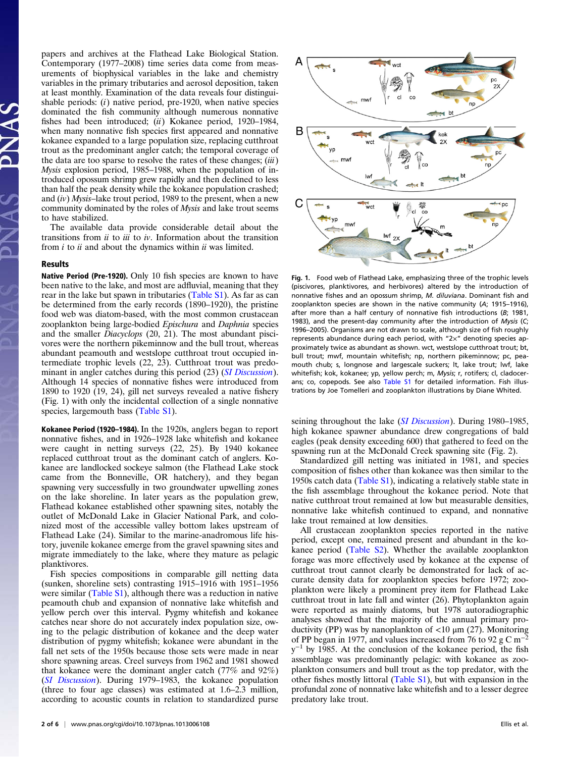papers and archives at the Flathead Lake Biological Station. Contemporary (1977–2008) time series data come from measurements of biophysical variables in the lake and chemistry variables in the primary tributaries and aerosol deposition, taken at least monthly. Examination of the data reveals four distinguishable periods: (i) native period, pre-1920, when native species dominated the fish community although numerous nonnative fishes had been introduced; (ii) Kokanee period, 1920-1984, when many nonnative fish species first appeared and nonnative kokanee expanded to a large population size, replacing cutthroat trout as the predominant angler catch; the temporal coverage of the data are too sparse to resolve the rates of these changes;  $(iii)$ Mysis explosion period, 1985–1988, when the population of introduced opossum shrimp grew rapidly and then declined to less than half the peak density while the kokanee population crashed; and  $(iv)$  Mysis–lake trout period, 1989 to the present, when a new community dominated by the roles of Mysis and lake trout seems to have stabilized.

The available data provide considerable detail about the transitions from  $ii$  to  $iii$  to  $iv$ . Information about the transition from  $i$  to  $ii$  and about the dynamics within  $ii$  was limited.

#### Results

Native Period (Pre-1920). Only 10 fish species are known to have been native to the lake, and most are adfluvial, meaning that they rear in the lake but spawn in tributaries ([Table S1](http://www.pnas.org/lookup/suppl/doi:10.1073/pnas.1013006108/-/DCSupplemental/pnas.201013006SI.pdf?targetid=nameddest=ST1)). As far as can be determined from the early records (1890–1920), the pristine food web was diatom-based, with the most common crustacean zooplankton being large-bodied Epischura and Daphnia species and the smaller Diacyclops (20, 21). The most abundant piscivores were the northern pikeminnow and the bull trout, whereas abundant peamouth and westslope cutthroat trout occupied intermediate trophic levels (22, 23). Cutthroat trout was predo-minant in angler catches during this period (23) ([SI Discussion](http://www.pnas.org/lookup/suppl/doi:10.1073/pnas.1013006108/-/DCSupplemental/pnas.201013006SI.pdf?targetid=nameddest=STXT)). Although 14 species of nonnative fishes were introduced from 1890 to 1920 (19, 24), gill net surveys revealed a native fishery (Fig. 1) with only the incidental collection of a single nonnative species, largemouth bass [\(Table S1](http://www.pnas.org/lookup/suppl/doi:10.1073/pnas.1013006108/-/DCSupplemental/pnas.201013006SI.pdf?targetid=nameddest=ST1)).

Kokanee Period (1920–1984). In the 1920s, anglers began to report nonnative fishes, and in 1926–1928 lake whitefish and kokanee were caught in netting surveys (22, 25). By 1940 kokanee replaced cutthroat trout as the dominant catch of anglers. Kokanee are landlocked sockeye salmon (the Flathead Lake stock came from the Bonneville, OR hatchery), and they began spawning very successfully in two groundwater upwelling zones on the lake shoreline. In later years as the population grew, Flathead kokanee established other spawning sites, notably the outlet of McDonald Lake in Glacier National Park, and colonized most of the accessible valley bottom lakes upstream of Flathead Lake (24). Similar to the marine-anadromous life history, juvenile kokanee emerge from the gravel spawning sites and migrate immediately to the lake, where they mature as pelagic planktivores.

Fish species compositions in comparable gill netting data (sunken, shoreline sets) contrasting 1915–1916 with 1951–1956 were similar ([Table S1](http://www.pnas.org/lookup/suppl/doi:10.1073/pnas.1013006108/-/DCSupplemental/pnas.201013006SI.pdf?targetid=nameddest=ST1)), although there was a reduction in native peamouth chub and expansion of nonnative lake whitefish and yellow perch over this interval. Pygmy whitefish and kokanee catches near shore do not accurately index population size, owing to the pelagic distribution of kokanee and the deep water distribution of pygmy whitefish; kokanee were abundant in the fall net sets of the 1950s because those sets were made in near shore spawning areas. Creel surveys from 1962 and 1981 showed that kokanee were the dominant angler catch (77% and 92%) ([SI Discussion](http://www.pnas.org/lookup/suppl/doi:10.1073/pnas.1013006108/-/DCSupplemental/pnas.201013006SI.pdf?targetid=nameddest=STXT)). During 1979–1983, the kokanee population (three to four age classes) was estimated at 1.6–2.3 million, according to acoustic counts in relation to standardized purse



Fig. 1. Food web of Flathead Lake, emphasizing three of the trophic levels (piscivores, planktivores, and herbivores) altered by the introduction of nonnative fishes and an opossum shrimp, M. diluviana. Dominant fish and zooplankton species are shown in the native community (A; 1915–1916), after more than a half century of nonnative fish introductions (B; 1981, 1983), and the present-day community after the introduction of Mysis (C; 1996–2005). Organisms are not drawn to scale, although size of fish roughly represents abundance during each period, with "2×" denoting species approximately twice as abundant as shown. wct, westslope cutthroat trout; bt, bull trout; mwf, mountain whitefish; np, northern pikeminnow; pc, peamouth chub; s, longnose and largescale suckers; lt, lake trout; lwf, lake whitefish; kok, kokanee; yp, yellow perch; m, Mysis; r, rotifers; cl, cladocer-ans; co, copepods. See also [Table S1](http://www.pnas.org/lookup/suppl/doi:10.1073/pnas.1013006108/-/DCSupplemental/pnas.201013006SI.pdf?targetid=nameddest=ST1) for detailed information. Fish illustrations by Joe Tomelleri and zooplankton illustrations by Diane Whited.

seining throughout the lake *([SI Discussion](http://www.pnas.org/lookup/suppl/doi:10.1073/pnas.1013006108/-/DCSupplemental/pnas.201013006SI.pdf?targetid=nameddest=STXT))*. During 1980–1985, high kokanee spawner abundance drew congregations of bald eagles (peak density exceeding 600) that gathered to feed on the spawning run at the McDonald Creek spawning site (Fig. 2).

Standardized gill netting was initiated in 1981, and species composition of fishes other than kokanee was then similar to the 1950s catch data (Table  $S1$ ), indicating a relatively stable state in the fish assemblage throughout the kokanee period. Note that native cutthroat trout remained at low but measurable densities, nonnative lake whitefish continued to expand, and nonnative lake trout remained at low densities.

All crustacean zooplankton species reported in the native period, except one, remained present and abundant in the kokanee period ([Table S2\)](http://www.pnas.org/lookup/suppl/doi:10.1073/pnas.1013006108/-/DCSupplemental/pnas.201013006SI.pdf?targetid=nameddest=ST2). Whether the available zooplankton forage was more effectively used by kokanee at the expense of cutthroat trout cannot clearly be demonstrated for lack of accurate density data for zooplankton species before 1972; zooplankton were likely a prominent prey item for Flathead Lake cutthroat trout in late fall and winter (26). Phytoplankton again were reported as mainly diatoms, but 1978 autoradiographic analyses showed that the majority of the annual primary productivity (PP) was by nanoplankton of <10 μm (27). Monitoring of PP began in 1977, and values increased from 76 to 92 g C m<sup>-2</sup>  $y^{-1}$  by 1985. At the conclusion of the kokanee period, the fish assemblage was predominantly pelagic: with kokanee as zooplankton consumers and bull trout as the top predator, with the other fishes mostly littoral [\(Table S1](http://www.pnas.org/lookup/suppl/doi:10.1073/pnas.1013006108/-/DCSupplemental/pnas.201013006SI.pdf?targetid=nameddest=ST1)), but with expansion in the profundal zone of nonnative lake whitefish and to a lesser degree predatory lake trout.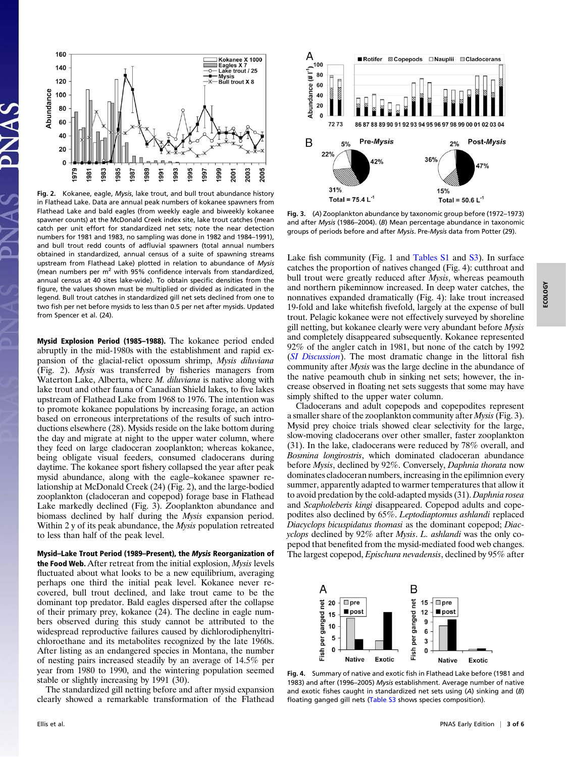

Fig. 2. Kokanee, eagle, Mysis, lake trout, and bull trout abundance history in Flathead Lake. Data are annual peak numbers of kokanee spawners from Flathead Lake and bald eagles (from weekly eagle and biweekly kokanee spawner counts) at the McDonald Creek index site, lake trout catches (mean catch per unit effort for standardized net sets; note the near detection numbers for 1981 and 1983, no sampling was done in 1982 and 1984–1991), and bull trout redd counts of adfluvial spawners (total annual numbers obtained in standardized, annual census of a suite of spawning streams upstream from Flathead Lake) plotted in relation to abundance of Mysis (mean numbers per  $m<sup>2</sup>$  with 95% confidence intervals from standardized, annual census at 40 sites lake-wide). To obtain specific densities from the figure, the values shown must be multiplied or divided as indicated in the legend. Bull trout catches in standardized gill net sets declined from one to two fish per net before mysids to less than 0.5 per net after mysids. Updated from Spencer et al. (24).

Mysid Explosion Period (1985–1988). The kokanee period ended abruptly in the mid-1980s with the establishment and rapid expansion of the glacial-relict opossum shrimp, Mysis diluviana (Fig. 2). Mysis was transferred by fisheries managers from Waterton Lake, Alberta, where *M. diluviana* is native along with lake trout and other fauna of Canadian Shield lakes, to five lakes upstream of Flathead Lake from 1968 to 1976. The intention was to promote kokanee populations by increasing forage, an action based on erroneous interpretations of the results of such introductions elsewhere (28). Mysids reside on the lake bottom during the day and migrate at night to the upper water column, where they feed on large cladoceran zooplankton; whereas kokanee, being obligate visual feeders, consumed cladocerans during daytime. The kokanee sport fishery collapsed the year after peak mysid abundance, along with the eagle–kokanee spawner relationship at McDonald Creek (24) (Fig. 2), and the large-bodied zooplankton (cladoceran and copepod) forage base in Flathead Lake markedly declined (Fig. 3). Zooplankton abundance and biomass declined by half during the Mysis expansion period. Within 2 y of its peak abundance, the *Mysis* population retreated to less than half of the peak level.

Mysid–Lake Trout Period (1989–Present), the Mysis Reorganization of the Food Web. After retreat from the initial explosion, Mysis levels

fluctuated about what looks to be a new equilibrium, averaging perhaps one third the initial peak level. Kokanee never recovered, bull trout declined, and lake trout came to be the dominant top predator. Bald eagles dispersed after the collapse of their primary prey, kokanee (24). The decline in eagle numbers observed during this study cannot be attributed to the widespread reproductive failures caused by dichlorodiphenyltrichloroethane and its metabolites recognized by the late 1960s. After listing as an endangered species in Montana, the number of nesting pairs increased steadily by an average of 14.5% per year from 1980 to 1990, and the wintering population seemed stable or slightly increasing by 1991 (30).

The standardized gill netting before and after mysid expansion clearly showed a remarkable transformation of the Flathead



Fig. 3. (A) Zooplankton abundance by taxonomic group before (1972–1973) and after Mysis (1986–2004). (B) Mean percentage abundance in taxonomic groups of periods before and after Mysis. Pre-Mysis data from Potter (29).

Lake fish community (Fig. 1 and [Tables S1](http://www.pnas.org/lookup/suppl/doi:10.1073/pnas.1013006108/-/DCSupplemental/pnas.201013006SI.pdf?targetid=nameddest=ST1) and [S3\)](http://www.pnas.org/lookup/suppl/doi:10.1073/pnas.1013006108/-/DCSupplemental/pnas.201013006SI.pdf?targetid=nameddest=ST3). In surface catches the proportion of natives changed (Fig. 4): cutthroat and bull trout were greatly reduced after *Mysis*, whereas peamouth and northern pikeminnow increased. In deep water catches, the nonnatives expanded dramatically (Fig. 4): lake trout increased 19-fold and lake whitefish fivefold, largely at the expense of bull trout. Pelagic kokanee were not effectively surveyed by shoreline gill netting, but kokanee clearly were very abundant before Mysis and completely disappeared subsequently. Kokanee represented 92% of the angler catch in 1981, but none of the catch by 1992 ([SI Discussion](http://www.pnas.org/lookup/suppl/doi:10.1073/pnas.1013006108/-/DCSupplemental/pnas.201013006SI.pdf?targetid=nameddest=STXT)). The most dramatic change in the littoral fish community after Mysis was the large decline in the abundance of the native peamouth chub in sinking net sets; however, the increase observed in floating net sets suggests that some may have simply shifted to the upper water column.

Cladocerans and adult copepods and copepodites represent a smaller share of the zooplankton community after Mysis (Fig. 3). Mysid prey choice trials showed clear selectivity for the large, slow-moving cladocerans over other smaller, faster zooplankton (31). In the lake, cladocerans were reduced by 78% overall, and Bosmina longirostris, which dominated cladoceran abundance before Mysis, declined by 92%. Conversely, Daphnia thorata now dominates cladoceran numbers, increasing in the epilimnion every summer, apparently adapted to warmer temperatures that allow it to avoid predation by the cold-adapted mysids (31). Daphnia rosea and Scapholeberis kingi disappeared. Copepod adults and copepodites also declined by 65%. Leptodiaptomus ashlandi replaced Diacyclops bicuspidatus thomasi as the dominant copepod; Diacyclops declined by 92% after Mysis. L. ashlandi was the only copepod that benefited from the mysid-mediated food web changes. The largest copepod, *Epischura nevadensis*, declined by 95% after



Fig. 4. Summary of native and exotic fish in Flathead Lake before (1981 and 1983) and after (1996–2005) Mysis establishment. Average number of native and exotic fishes caught in standardized net sets using (A) sinking and (B) floating ganged gill nets [\(Table S3](http://www.pnas.org/lookup/suppl/doi:10.1073/pnas.1013006108/-/DCSupplemental/pnas.201013006SI.pdf?targetid=nameddest=ST3) shows species composition).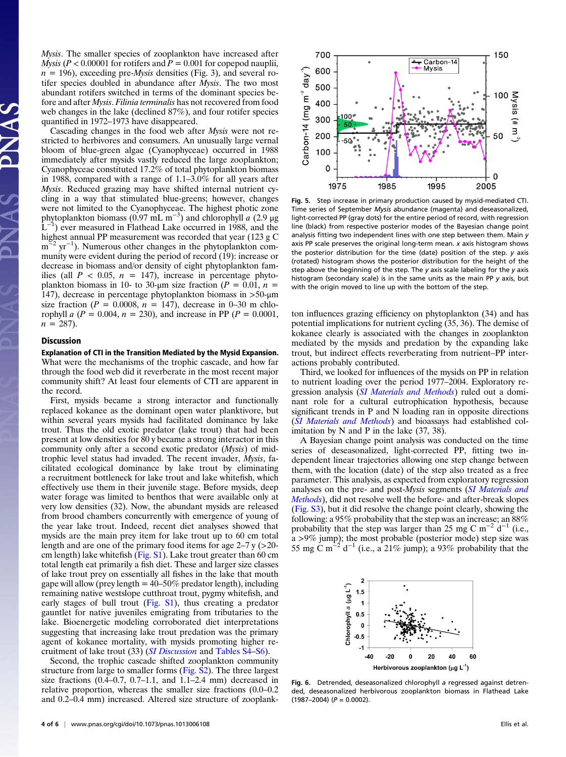Mysis. The smaller species of zooplankton have increased after *Mysis* ( $P < 0.00001$  for rotifers and  $P = 0.001$  for copepod nauplii,  $n = 196$ ), exceeding pre-*Mysis* densities (Fig. 3), and several rotifer species doubled in abundance after Mysis. The two most abundant rotifers switched in terms of the dominant species before and after Mysis. Filinia terminalis has not recovered from food web changes in the lake (declined 87%), and four rotifer species quantified in 1972–1973 have disappeared.

Cascading changes in the food web after Mysis were not restricted to herbivores and consumers. An unusually large vernal bloom of blue-green algae (Cyanophyceae) occurred in 1988 immediately after mysids vastly reduced the large zooplankton; Cyanophyceae constituted 17.2% of total phytoplankton biomass in 1988, compared with a range of 1.1–3.0% for all years after Mysis. Reduced grazing may have shifted internal nutrient cycling in a way that stimulated blue-greens; however, changes were not limited to the Cyanophyceae. The highest photic zone phytoplankton biomass (0.97 mL m<sup>-3</sup>) and chlorophyll a (2.9 µg L<sup>-1</sup>) ever measured in Flathead Lake occurred in 1988, and the highest annual PP measurement was recorded that year (123 g C m<sup>-2</sup> yr<sup>-1</sup>). Numerous other changes in the phytoplankton community were evident during the period of record (19): increase or decrease in biomass and/or density of eight phytoplankton families (all  $P < 0.05$ ,  $n = 147$ ), increase in percentage phytoplankton biomass in 10- to 30-μm size fraction ( $P = 0.01$ ,  $n =$ 147), decrease in percentage phytoplankton biomass in >50-μm size fraction ( $P = 0.0008$ ,  $n = 147$ ), decrease in 0–30 m chlorophyll *a* ( $P = 0.004$ ,  $n = 230$ ), and increase in PP ( $P = 0.0001$ ,  $n = 287$ ).

#### Discussion

Explanation of CTI in the Transition Mediated by the Mysid Expansion. What were the mechanisms of the trophic cascade, and how far through the food web did it reverberate in the most recent major community shift? At least four elements of CTI are apparent in the record.

First, mysids became a strong interactor and functionally replaced kokanee as the dominant open water planktivore, but within several years mysids had facilitated dominance by lake trout. Thus the old exotic predator (lake trout) that had been present at low densities for 80 y became a strong interactor in this community only after a second exotic predator (Mysis) of midtrophic level status had invaded. The recent invader, Mysis, facilitated ecological dominance by lake trout by eliminating a recruitment bottleneck for lake trout and lake whitefish, which effectively use them in their juvenile stage. Before mysids, deep water forage was limited to benthos that were available only at very low densities (32). Now, the abundant mysids are released from brood chambers concurrently with emergence of young of the year lake trout. Indeed, recent diet analyses showed that mysids are the main prey item for lake trout up to 60 cm total length and are one of the primary food items for age  $2-7y$  ( $>20$ cm length) lake whitefish [\(Fig. S1\)](http://www.pnas.org/lookup/suppl/doi:10.1073/pnas.1013006108/-/DCSupplemental/pnas.201013006SI.pdf?targetid=nameddest=SF1). Lake trout greater than 60 cm total length eat primarily a fish diet. These and larger size classes of lake trout prey on essentially all fishes in the lake that mouth gape will allow (prey length  $= 40-50\%$  predator length), including remaining native westslope cutthroat trout, pygmy whitefish, and early stages of bull trout [\(Fig. S1\)](http://www.pnas.org/lookup/suppl/doi:10.1073/pnas.1013006108/-/DCSupplemental/pnas.201013006SI.pdf?targetid=nameddest=SF1), thus creating a predator gauntlet for native juveniles emigrating from tributaries to the lake. Bioenergetic modeling corroborated diet interpretations suggesting that increasing lake trout predation was the primary agent of kokanee mortality, with mysids promoting higher re-cruitment of lake trout (33) ([SI Discussion](http://www.pnas.org/lookup/suppl/doi:10.1073/pnas.1013006108/-/DCSupplemental/pnas.201013006SI.pdf?targetid=nameddest=STXT) and [Tables S4](http://www.pnas.org/lookup/suppl/doi:10.1073/pnas.1013006108/-/DCSupplemental/pnas.201013006SI.pdf?targetid=nameddest=ST4)–[S6\)](http://www.pnas.org/lookup/suppl/doi:10.1073/pnas.1013006108/-/DCSupplemental/pnas.201013006SI.pdf?targetid=nameddest=ST6).

Second, the trophic cascade shifted zooplankton community structure from large to smaller forms ([Fig. S2](http://www.pnas.org/lookup/suppl/doi:10.1073/pnas.1013006108/-/DCSupplemental/pnas.201013006SI.pdf?targetid=nameddest=SF2)). The three largest size fractions (0.4–0.7, 0.7–1.1, and 1.1–2.4 mm) decreased in relative proportion, whereas the smaller size fractions (0.0–0.2 and 0.2–0.4 mm) increased. Altered size structure of zooplank-



Fig. 5. Step increase in primary production caused by mysid-mediated CTI. Time series of September Mysis abundance (magenta) and deseasonalized, light-corrected PP (gray dots) for the entire period of record, with regression line (black) from respective posterior modes of the Bayesian change point analysis fitting two independent lines with one step between them. Main  $y$ axis PP scale preserves the original long-term mean. x axis histogram shows the posterior distribution for the time (date) position of the step. y axis (rotated) histogram shows the posterior distribution for the height of the step above the beginning of the step. The y axis scale labeling for the y axis histogram (secondary scale) is in the same units as the main PP  $\nu$  axis, but with the origin moved to line up with the bottom of the step.

ton influences grazing efficiency on phytoplankton (34) and has potential implications for nutrient cycling (35, 36). The demise of kokanee clearly is associated with the changes in zooplankton mediated by the mysids and predation by the expanding lake trout, but indirect effects reverberating from nutrient–PP interactions probably contributed.

Third, we looked for influences of the mysids on PP in relation to nutrient loading over the period 1977–2004. Exploratory re-gression analysis ([SI Materials and Methods](http://www.pnas.org/lookup/suppl/doi:10.1073/pnas.1013006108/-/DCSupplemental/pnas.201013006SI.pdf?targetid=nameddest=STXT)) ruled out a dominant role for a cultural eutrophication hypothesis, because significant trends in P and N loading ran in opposite directions ([SI Materials and Methods](http://www.pnas.org/lookup/suppl/doi:10.1073/pnas.1013006108/-/DCSupplemental/pnas.201013006SI.pdf?targetid=nameddest=STXT)) and bioassays had established colimitation by N and P in the lake (37, 38).

A Bayesian change point analysis was conducted on the time series of deseasonalized, light-corrected PP, fitting two independent linear trajectories allowing one step change between them, with the location (date) of the step also treated as a free parameter. This analysis, as expected from exploratory regression analyses on the pre- and post-Mysis segments ([SI Materials and](http://www.pnas.org/lookup/suppl/doi:10.1073/pnas.1013006108/-/DCSupplemental/pnas.201013006SI.pdf?targetid=nameddest=STXT) [Methods](http://www.pnas.org/lookup/suppl/doi:10.1073/pnas.1013006108/-/DCSupplemental/pnas.201013006SI.pdf?targetid=nameddest=STXT)), did not resolve well the before- and after-break slopes ([Fig. S3](http://www.pnas.org/lookup/suppl/doi:10.1073/pnas.1013006108/-/DCSupplemental/pnas.201013006SI.pdf?targetid=nameddest=SF3)), but it did resolve the change point clearly, showing the following: a 95% probability that the step was an increase; an 88% probability that the step was larger than 25 mg C m<sup>-2</sup> d<sup>-1</sup> (i.e., a >9% jump); the most probable (posterior mode) step size was 55 mg C m<sup>-2</sup> d<sup>-1</sup> (i.e., a 21% jump); a 93% probability that the



Fig. 6. Detrended, deseasonalized chlorophyll a regressed against detrended, deseasonalized herbivorous zooplankton biomass in Flathead Lake  $(1987-2004)$   $(P = 0.0002)$ .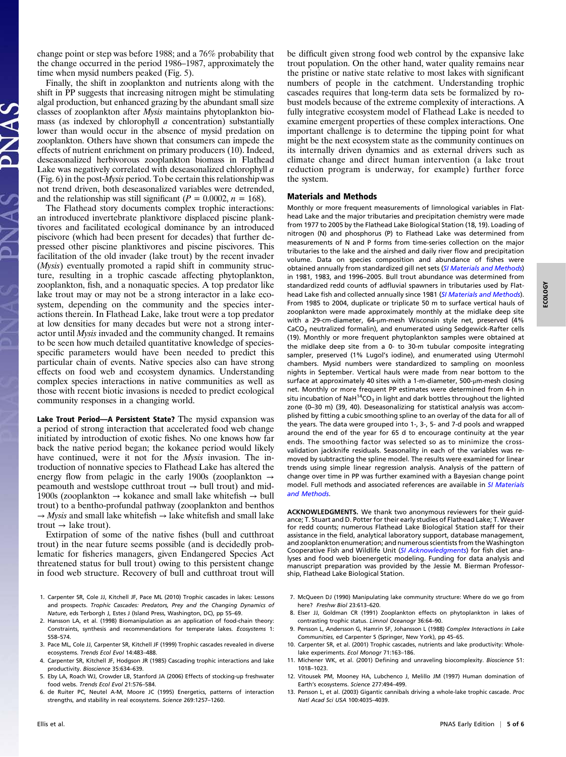change point or step was before 1988; and a 76% probability that the change occurred in the period 1986–1987, approximately the time when mysid numbers peaked (Fig. 5).

Finally, the shift in zooplankton and nutrients along with the shift in PP suggests that increasing nitrogen might be stimulating algal production, but enhanced grazing by the abundant small size classes of zooplankton after Mysis maintains phytoplankton biomass (as indexed by chlorophyll  $a$  concentration) substantially lower than would occur in the absence of mysid predation on zooplankton. Others have shown that consumers can impede the effects of nutrient enrichment on primary producers (10). Indeed, deseasonalized herbivorous zooplankton biomass in Flathead Lake was negatively correlated with deseasonalized chlorophyll a (Fig. 6) in the post-Mysis period. To be certain this relationship was not trend driven, both deseasonalized variables were detrended, and the relationship was still significant ( $P = 0.0002$ ,  $n = 168$ ).

The Flathead story documents complex trophic interactions: an introduced invertebrate planktivore displaced piscine planktivores and facilitated ecological dominance by an introduced piscivore (which had been present for decades) that further depressed other piscine planktivores and piscine piscivores. This facilitation of the old invader (lake trout) by the recent invader (Mysis) eventually promoted a rapid shift in community structure, resulting in a trophic cascade affecting phytoplankton, zooplankton, fish, and a nonaquatic species. A top predator like lake trout may or may not be a strong interactor in a lake ecosystem, depending on the community and the species interactions therein. In Flathead Lake, lake trout were a top predator at low densities for many decades but were not a strong interactor until Mysis invaded and the community changed. It remains to be seen how much detailed quantitative knowledge of speciesspecific parameters would have been needed to predict this particular chain of events. Native species also can have strong effects on food web and ecosystem dynamics. Understanding complex species interactions in native communities as well as those with recent biotic invasions is needed to predict ecological community responses in a changing world.

Lake Trout Period-A Persistent State? The mysid expansion was a period of strong interaction that accelerated food web change initiated by introduction of exotic fishes. No one knows how far back the native period began; the kokanee period would likely have continued, were it not for the *Mysis* invasion. The introduction of nonnative species to Flathead Lake has altered the energy flow from pelagic in the early 1900s (zooplankton  $\rightarrow$ peamouth and westslope cutthroat trout  $\rightarrow$  bull trout) and mid-1900s (zooplankton  $\rightarrow$  kokanee and small lake whitefish  $\rightarrow$  bull trout) to a bentho-profundal pathway (zooplankton and benthos  $\rightarrow$  *Mysis* and small lake whitefish  $\rightarrow$  lake whitefish and small lake trout  $\rightarrow$  lake trout).

Extirpation of some of the native fishes (bull and cutthroat trout) in the near future seems possible (and is decidedly problematic for fisheries managers, given Endangered Species Act threatened status for bull trout) owing to this persistent change in food web structure. Recovery of bull and cutthroat trout will

- 1. Carpenter SR, Cole JJ, Kitchell JF, Pace ML (2010) Trophic cascades in lakes: Lessons and prospects. Trophic Cascades: Predators, Prey and the Changing Dynamics of Nature, eds Terborgh J, Estes J (Island Press, Washington, DC), pp 55–69.
- 2. Hansson LA, et al. (1998) Biomanipulation as an application of food-chain theory: Constraints, synthesis and recommendations for temperate lakes. Ecosystems 1: 558–574.
- 3. Pace ML, Cole JJ, Carpenter SR, Kitchell JF (1999) Trophic cascades revealed in diverse ecosystems. Trends Ecol Evol 14:483–488.
- 4. Carpenter SR, Kitchell JF, Hodgson JR (1985) Cascading trophic interactions and lake productivity. Bioscience 35:634–639.
- 5. Eby LA, Roach WJ, Crowder LB, Stanford JA (2006) Effects of stocking-up freshwater food webs. Trends Ecol Evol 21:576–584.
- 6. de Ruiter PC, Neutel A-M, Moore JC (1995) Energetics, patterns of interaction strengths, and stability in real ecosystems. Science 269:1257–1260.

be difficult given strong food web control by the expansive lake trout population. On the other hand, water quality remains near the pristine or native state relative to most lakes with significant numbers of people in the catchment. Understanding trophic cascades requires that long-term data sets be formalized by robust models because of the extreme complexity of interactions. A fully integrative ecosystem model of Flathead Lake is needed to examine emergent properties of these complex interactions. One important challenge is to determine the tipping point for what might be the next ecosystem state as the community continues on its internally driven dynamics and as external drivers such as climate change and direct human intervention (a lake trout reduction program is underway, for example) further force the system.

### Materials and Methods

Monthly or more frequent measurements of limnological variables in Flathead Lake and the major tributaries and precipitation chemistry were made from 1977 to 2005 by the Flathead Lake Biological Station (18, 19). Loading of nitrogen (N) and phosphorus (P) to Flathead Lake was determined from measurements of N and P forms from time-series collection on the major tributaries to the lake and the airshed and daily river flow and precipitation volume. Data on species composition and abundance of fishes were obtained annually from standardized gill net sets ([SI Materials and Methods](http://www.pnas.org/lookup/suppl/doi:10.1073/pnas.1013006108/-/DCSupplemental/pnas.201013006SI.pdf?targetid=nameddest=STXT)) in 1981, 1983, and 1996–2005. Bull trout abundance was determined from standardized redd counts of adfluvial spawners in tributaries used by Flat-head Lake fish and collected annually since 1981 ([SI Materials and Methods](http://www.pnas.org/lookup/suppl/doi:10.1073/pnas.1013006108/-/DCSupplemental/pnas.201013006SI.pdf?targetid=nameddest=STXT)). From 1985 to 2004, duplicate or triplicate 50 m to surface vertical hauls of zooplankton were made approximately monthly at the midlake deep site with a 29-cm-diameter, 64-μm-mesh Wisconsin style net, preserved (4% CaCO<sub>3</sub> neutralized formalin), and enumerated using Sedgewick-Rafter cells (19). Monthly or more frequent phytoplankton samples were obtained at the midlake deep site from a 0- to 30-m tubular composite integrating sampler, preserved (1% Lugol's iodine), and enumerated using Utermohl chambers. Mysid numbers were standardized to sampling on moonless nights in September. Vertical hauls were made from near bottom to the surface at approximately 40 sites with a 1-m-diameter, 500-μm-mesh closing net. Monthly or more frequent PP estimates were determined from 4-h in situ incubation of NaH $^{14}CO<sub>3</sub>$  in light and dark bottles throughout the lighted zone (0–30 m) (39, 40). Deseasonalizing for statistical analysis was accomplished by fitting a cubic smoothing spline to an overlay of the data for all of the years. The data were grouped into 1-, 3-, 5- and 7-d pools and wrapped around the end of the year for 65 d to encourage continuity at the year ends. The smoothing factor was selected so as to minimize the crossvalidation jackknife residuals. Seasonality in each of the variables was removed by subtracting the spline model. The results were examined for linear trends using simple linear regression analysis. Analysis of the pattern of change over time in PP was further examined with a Bayesian change point model. Full methods and associated references are available in *[SI Materials](http://www.pnas.org/lookup/suppl/doi:10.1073/pnas.1013006108/-/DCSupplemental/pnas.201013006SI.pdf?targetid=nameddest=STXT)* [and Methods](http://www.pnas.org/lookup/suppl/doi:10.1073/pnas.1013006108/-/DCSupplemental/pnas.201013006SI.pdf?targetid=nameddest=STXT).

ACKNOWLEDGMENTS. We thank two anonymous reviewers for their guidance; T. Stuart and D. Potter for their early studies of Flathead Lake; T. Weaver for redd counts; numerous Flathead Lake Biological Station staff for their assistance in the field, analytical laboratory support, database management, and zooplankton enumeration; and numerous scientists from theWashington Cooperative Fish and Wildlife Unit ([SI Acknowledgments](http://www.pnas.org/lookup/suppl/doi:10.1073/pnas.1013006108/-/DCSupplemental/pnas.201013006SI.pdf?targetid=nameddest=STXT)) for fish diet analyses and food web bioenergetic modeling. Funding for data analysis and manuscript preparation was provided by the Jessie M. Bierman Professorship, Flathead Lake Biological Station.

- 7. McQueen DJ (1990) Manipulating lake community structure: Where do we go from here? Freshw Biol 23:613–620.
- 8. Elser JJ, Goldman CR (1991) Zooplankton effects on phytoplankton in lakes of contrasting trophic status. Limnol Oceanogr 36:64–90.
- 9. Persson L, Andersson G, Hamrin SF, Johansson L (1988) Complex Interactions in Lake Communities, ed Carpenter S (Springer, New York), pp 45–65.
- 10. Carpenter SR, et al. (2001) Trophic cascades, nutrients and lake productivity: Wholelake experiments. Ecol Monogr 71:163–186.
- 11. Michener WK, et al. (2001) Defining and unraveling biocomplexity. Bioscience 51: 1018–1023.
- 12. Vitousek PM, Mooney HA, Lubchenco J, Melillo JM (1997) Human domination of Earth's ecosystems. Science 277:494–499.
- 13. Persson L, et al. (2003) Gigantic cannibals driving a whole-lake trophic cascade. Proc Natl Acad Sci USA 100:4035–4039.